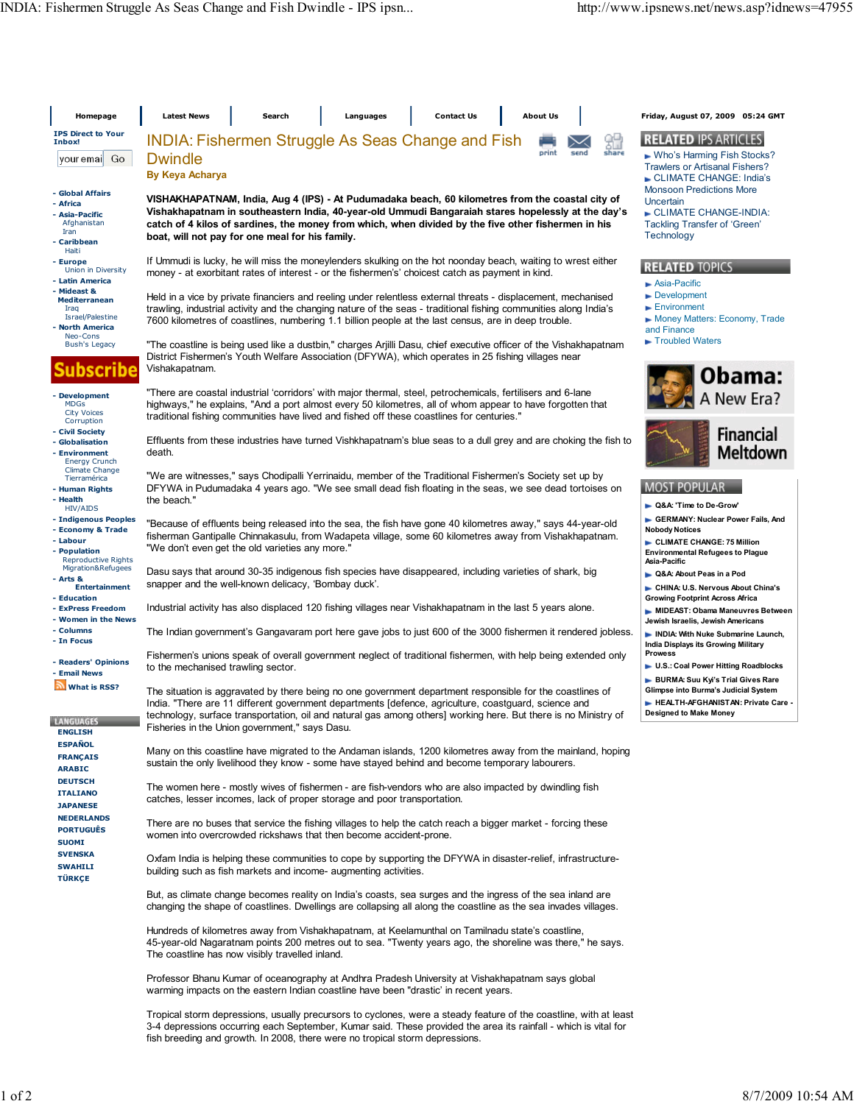| Homepage                                                                                       | <b>Latest News</b>                                                                                                                                                                                                                                                                                                                                                                     | Search                                                                                                                                                         | Languages                                                                                                                                            |                                                                                            | <b>Contact Us</b> | <b>About Us</b>                                                                                                                                     |                     | Friday, August 07, 2009 05:24 GMT                                                                                               |  |  |  |  |
|------------------------------------------------------------------------------------------------|----------------------------------------------------------------------------------------------------------------------------------------------------------------------------------------------------------------------------------------------------------------------------------------------------------------------------------------------------------------------------------------|----------------------------------------------------------------------------------------------------------------------------------------------------------------|------------------------------------------------------------------------------------------------------------------------------------------------------|--------------------------------------------------------------------------------------------|-------------------|-----------------------------------------------------------------------------------------------------------------------------------------------------|---------------------|---------------------------------------------------------------------------------------------------------------------------------|--|--|--|--|
| <b>IPS Direct to Your</b><br>Inbox!<br> youremai  Go                                           | <b>INDIA: Fishermen Struggle As Seas Change and Fish</b><br><b>Dwindle</b><br><b>By Keya Acharya</b>                                                                                                                                                                                                                                                                                   |                                                                                                                                                                |                                                                                                                                                      |                                                                                            |                   | print                                                                                                                                               | 9법<br>share<br>send | <b>RELATED IPS ARTICLES</b><br>► Who's Harming Fish Stocks?<br><b>Trawlers or Artisanal Fishers?</b><br>CLIMATE CHANGE: India's |  |  |  |  |
| - Global Affairs<br>- Africa<br>- Asia-Pacific<br>Afghanistan<br>Iran<br>- Caribbean           | VISHAKHAPATNAM, India, Aug 4 (IPS) - At Pudumadaka beach, 60 kilometres from the coastal city of<br>Vishakhapatnam in southeastern India, 40-year-old Ummudi Bangaraiah stares hopelessly at the day's<br>catch of 4 kilos of sardines, the money from which, when divided by the five other fishermen in his<br>boat, will not pay for one meal for his family.                       | <b>Monsoon Predictions More</b><br>Uncertain<br>CLIMATE CHANGE-INDIA:<br>Tackling Transfer of 'Green'<br>Technology                                            |                                                                                                                                                      |                                                                                            |                   |                                                                                                                                                     |                     |                                                                                                                                 |  |  |  |  |
| Haiti<br>- Europe<br>Union in Diversity<br>- Latin America                                     | If Ummudi is lucky, he will miss the moneylenders skulking on the hot noonday beach, waiting to wrest either<br>money - at exorbitant rates of interest - or the fishermen's' choicest catch as payment in kind.                                                                                                                                                                       | <b>RELATED TOPICS</b><br>$\blacktriangleright$ Asia-Pacific<br>Development<br>Environment<br>Money Matters: Economy, Trade<br>and Finance                      |                                                                                                                                                      |                                                                                            |                   |                                                                                                                                                     |                     |                                                                                                                                 |  |  |  |  |
| - Mideast &<br><b>Mediterranean</b><br>Iraq<br>Israel/Palestine<br>- North America<br>Neo-Cons | Held in a vice by private financiers and reeling under relentless external threats - displacement, mechanised<br>trawling, industrial activity and the changing nature of the seas - traditional fishing communities along India's<br>7600 kilometres of coastlines, numbering 1.1 billion people at the last census, are in deep trouble.                                             |                                                                                                                                                                |                                                                                                                                                      |                                                                                            |                   |                                                                                                                                                     |                     |                                                                                                                                 |  |  |  |  |
| <b>Bush's Legacy</b><br>Ibscribe                                                               | "The coastline is being used like a dustbin," charges Arjilli Dasu, chief executive officer of the Vishakhapatnam<br>District Fishermen's Youth Welfare Association (DFYWA), which operates in 25 fishing villages near<br>Vishakapatnam.                                                                                                                                              | Troubled Waters                                                                                                                                                |                                                                                                                                                      |                                                                                            |                   |                                                                                                                                                     |                     |                                                                                                                                 |  |  |  |  |
| - Development<br><b>MDGs</b><br><b>City Voices</b>                                             | "There are coastal industrial 'corridors' with major thermal, steel, petrochemicals, fertilisers and 6-lane<br>highways," he explains, "And a port almost every 50 kilometres, all of whom appear to have forgotten that<br>traditional fishing communities have lived and fished off these coastlines for centuries."                                                                 |                                                                                                                                                                | Obama:<br>A New Era?                                                                                                                                 |                                                                                            |                   |                                                                                                                                                     |                     |                                                                                                                                 |  |  |  |  |
| Corruption<br>- Civil Society<br>- Globalisation<br>- Environment<br><b>Energy Crunch</b>      | Effluents from these industries have turned Vishkhapatnam's blue seas to a dull grey and are choking the fish to<br>death.                                                                                                                                                                                                                                                             |                                                                                                                                                                |                                                                                                                                                      |                                                                                            |                   |                                                                                                                                                     |                     | <b>Financial</b><br><b>Meltdown</b>                                                                                             |  |  |  |  |
| <b>Climate Change</b><br>Tierramérica<br>- Human Rights<br>- Health<br><b>HIV/AIDS</b>         | "We are witnesses," says Chodipalli Yerrinaidu, member of the Traditional Fishermen's Society set up by<br>DFYWA in Pudumadaka 4 years ago. "We see small dead fish floating in the seas, we see dead tortoises on<br>the beach."                                                                                                                                                      |                                                                                                                                                                |                                                                                                                                                      |                                                                                            |                   |                                                                                                                                                     |                     | <b>MOST POPULAR</b><br>► Q&A: 'Time to De-Grow'                                                                                 |  |  |  |  |
| - Indigenous Peoples<br>- Economy & Trade<br>- Labour<br>- Population                          | "Because of effluents being released into the sea, the fish have gone 40 kilometres away," says 44-year-old<br>fisherman Gantipalle Chinnakasulu, from Wadapeta village, some 60 kilometres away from Vishakhapatnam.<br>"We don't even get the old varieties any more."                                                                                                               |                                                                                                                                                                |                                                                                                                                                      |                                                                                            |                   | GERMANY: Nuclear Power Fails, And<br><b>Nobody Notices</b><br>CLIMATE CHANGE: 75 Million<br><b>Environmental Refugees to Plague</b><br>Asia-Pacific |                     |                                                                                                                                 |  |  |  |  |
| <b>Reproductive Rights</b><br>Migration&Refugees<br>- Arts &<br><b>Entertainment</b>           |                                                                                                                                                                                                                                                                                                                                                                                        | Dasu says that around 30-35 indigenous fish species have disappeared, including varieties of shark, big<br>snapper and the well-known delicacy, 'Bombay duck'. |                                                                                                                                                      |                                                                                            |                   |                                                                                                                                                     |                     |                                                                                                                                 |  |  |  |  |
| - Education<br>- ExPress Freedom<br>- Women in the News                                        | Industrial activity has also displaced 120 fishing villages near Vishakhapatnam in the last 5 years alone.                                                                                                                                                                                                                                                                             |                                                                                                                                                                | CHINA: U.S. Nervous About China's<br><b>Growing Footprint Across Africa</b><br>MIDEAST: Obama Maneuvres Between<br>Jewish Israelis, Jewish Americans |                                                                                            |                   |                                                                                                                                                     |                     |                                                                                                                                 |  |  |  |  |
| - Columns<br>- In Focus                                                                        | The Indian government's Gangavaram port here gave jobs to just 600 of the 3000 fishermen it rendered jobless.                                                                                                                                                                                                                                                                          |                                                                                                                                                                |                                                                                                                                                      |                                                                                            |                   |                                                                                                                                                     |                     | NDIA: With Nuke Submarine Launch,<br>India Displays its Growing Military                                                        |  |  |  |  |
| - Readers' Opinions<br>- Email News                                                            | Fishermen's unions speak of overall government neglect of traditional fishermen, with help being extended only<br>to the mechanised trawling sector.                                                                                                                                                                                                                                   |                                                                                                                                                                |                                                                                                                                                      | <b>Prowess</b><br>U.S.: Coal Power Hitting Roadblocks<br>BURMA: Suu Kyi's Trial Gives Rare |                   |                                                                                                                                                     |                     |                                                                                                                                 |  |  |  |  |
| What is RSS?<br><b>LAMGUAGES</b><br><b>ENGLISH</b>                                             | The situation is aggravated by there being no one government department responsible for the coastlines of<br>India. "There are 11 different government departments [defence, agriculture, coastguard, science and<br>technology, surface transportation, oil and natural gas among others] working here. But there is no Ministry of<br>Fisheries in the Union government," says Dasu. |                                                                                                                                                                |                                                                                                                                                      |                                                                                            |                   |                                                                                                                                                     |                     | Glimpse into Burma's Judicial System<br>HEALTH-AFGHANISTAN: Private Care -<br><b>Designed to Make Money</b>                     |  |  |  |  |
| <b>ESPAÑOL</b><br><b>FRANÇAIS</b><br><b>ARABIC</b>                                             | Many on this coastline have migrated to the Andaman islands, 1200 kilometres away from the mainland, hoping<br>sustain the only livelihood they know - some have stayed behind and become temporary labourers.                                                                                                                                                                         |                                                                                                                                                                |                                                                                                                                                      |                                                                                            |                   |                                                                                                                                                     |                     |                                                                                                                                 |  |  |  |  |
| <b>DEUTSCH</b><br><b>ITALIANO</b><br><b>JAPANESE</b>                                           | The women here - mostly wives of fishermen - are fish-vendors who are also impacted by dwindling fish<br>catches, lesser incomes, lack of proper storage and poor transportation.                                                                                                                                                                                                      |                                                                                                                                                                |                                                                                                                                                      |                                                                                            |                   |                                                                                                                                                     |                     |                                                                                                                                 |  |  |  |  |
| <b>NEDERLANDS</b><br><b>PORTUGUÊS</b><br><b>SUOMI</b>                                          | There are no buses that service the fishing villages to help the catch reach a bigger market - forcing these<br>women into overcrowded rickshaws that then become accident-prone.                                                                                                                                                                                                      |                                                                                                                                                                |                                                                                                                                                      |                                                                                            |                   |                                                                                                                                                     |                     |                                                                                                                                 |  |  |  |  |
| <b>SVENSKA</b><br><b>SWAHILI</b><br><b>TÜRKÇE</b>                                              | Oxfam India is helping these communities to cope by supporting the DFYWA in disaster-relief, infrastructure-<br>building such as fish markets and income- augmenting activities.                                                                                                                                                                                                       |                                                                                                                                                                |                                                                                                                                                      |                                                                                            |                   |                                                                                                                                                     |                     |                                                                                                                                 |  |  |  |  |
|                                                                                                | But, as climate change becomes reality on India's coasts, sea surges and the ingress of the sea inland are<br>changing the shape of coastlines. Dwellings are collapsing all along the coastline as the sea invades villages.                                                                                                                                                          |                                                                                                                                                                |                                                                                                                                                      |                                                                                            |                   |                                                                                                                                                     |                     |                                                                                                                                 |  |  |  |  |
|                                                                                                | Hundreds of kilometres away from Vishakhapatnam, at Keelamunthal on Tamilnadu state's coastline,<br>45-year-old Nagaratnam points 200 metres out to sea. "Twenty years ago, the shoreline was there," he says.<br>The coastline has now visibly travelled inland.                                                                                                                      |                                                                                                                                                                |                                                                                                                                                      |                                                                                            |                   |                                                                                                                                                     |                     |                                                                                                                                 |  |  |  |  |
|                                                                                                | Professor Bhanu Kumar of oceanography at Andhra Pradesh University at Vishakhapatnam says global<br>warming impacts on the eastern Indian coastline have been "drastic' in recent years.                                                                                                                                                                                               |                                                                                                                                                                |                                                                                                                                                      |                                                                                            |                   |                                                                                                                                                     |                     |                                                                                                                                 |  |  |  |  |
|                                                                                                | Tropical storm depressions, usually precursors to cyclones, were a steady feature of the coastline, with at least                                                                                                                                                                                                                                                                      |                                                                                                                                                                |                                                                                                                                                      |                                                                                            |                   |                                                                                                                                                     |                     |                                                                                                                                 |  |  |  |  |

3-4 depressions occurring each September, Kumar said. These provided the area its rainfall - which is vital for

fish breeding and growth. In 2008, there were no tropical storm depressions.